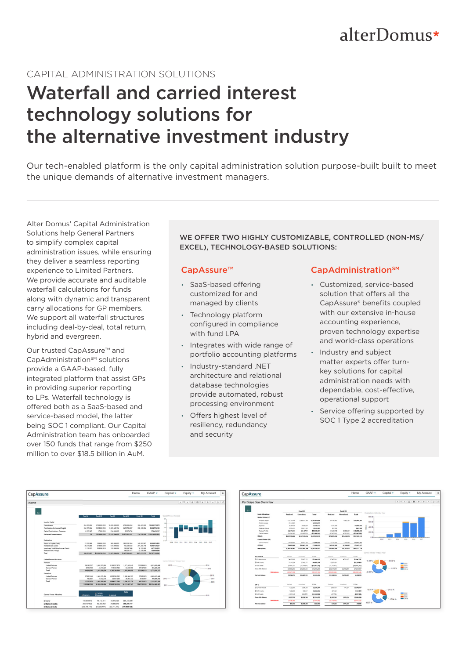## alterDomus\*

### CAPITAL ADMINISTRATION SOLUTIONS

# Waterfall and carried interest technology solutions for the alternative investment industry

Our tech-enabled platform is the only capital administration solution purpose-built built to meet the unique demands of alternative investment managers.

Alter Domus' Capital Administration Solutions help General Partners to simplify complex capital administration issues, while ensuring they deliver a seamless reporting experience to Limited Partners. We provide accurate and auditable waterfall calculations for funds along with dynamic and transparent carry allocations for GP members. We support all waterfall structures including deal-by-deal, total return, hybrid and evergreen.

Our trusted CapAssure™ and CapAdministration<sup>SM</sup> solutions provide a GAAP-based, fully integrated platform that assist GPs in providing superior reporting to LPs. Waterfall technology is offered both as a SaaS-based and service-based model, the latter being SOC 1 compliant. Our Capital Administration team has onboarded over 150 funds that range from \$250 million to over \$18.5 billion in AuM.

WE OFFER TWO HIGHLY CUSTOMIZABLE, CONTROLLED (NON-MS/ EXCEL), TECHNOLOGY-BASED SOLUTIONS:

#### CapAssure™

- SaaS-based offering customized for and managed by clients
- Technology platform configured in compliance with fund LPA
- Integrates with wide range of portfolio accounting platforms
- Industry-standard .NET architecture and relational database technologies provide automated, robust processing environment
- Offers highest level of resiliency, redundancy and security

#### CapAdministration<sup>SM</sup>

- Customized, service-based solution that offers all the CapAssure® benefits coupled with our extensive in-house accounting experience, proven technology expertise and world-class operations
- Industry and subject matter experts offer turnkey solutions for capital administration needs with dependable, cost-effective, operational support
- Service offering supported by SOC 1 Type 2 accreditation